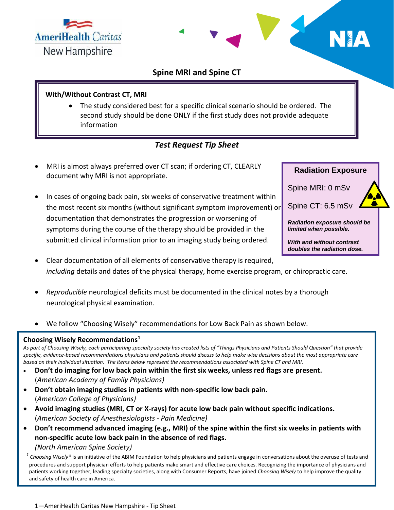



## **Spine MRI and Spine CT**

#### **With/Without Contrast CT, MRI**

 The study considered best for a specific clinical scenario should be ordered. The second study should be done ONLY if the first study does not provide adequate information

# *Test Request Tip Sheet*

- MRI is almost always preferred over CT scan; if ordering CT, CLEARLY document why MRI is not appropriate.
- In cases of ongoing back pain, six weeks of conservative treatment within the most recent six months (without significant symptom improvement) or documentation that demonstrates the progression or worsening of symptoms during the course of the therapy should be provided in the submitted clinical information prior to an imaging study being ordered.



- Clear documentation of all elements of conservative therapy is required, *including* details and dates of the physical therapy, home exercise program, or chiropractic care.
- *Reproducible* neurological deficits must be documented in the clinical notes by a thorough neurological physical examination.
- We follow "Choosing Wisely" recommendations for Low Back Pain as shown below.

#### **Choosing Wisely Recommendations<sup>1</sup>**

*As part of Choosing Wisely, each participating specialty society has created lists of "Things Physicians and Patients Should Question" that provide specific, evidence-based recommendations physicians and patients should discuss to help make wise decisions about the most appropriate care based on their individual situation. The items below represent the recommendations associated with Spine CT and MRI.*

- **Don't do imaging for low back pain within the first six weeks, unless red flags are present.** (*American Academy of Family Physicians)*
- **Don't obtain imaging studies in patients with non-specific low back pain.**  (*American College of Physicians)*
- **Avoid imaging studies (MRI, CT or X-rays) for acute low back pain without specific indications.** (*American Society of Anesthesiologists - Pain Medicine)*
- **Don't recommend advanced imaging (e.g., MRI) of the spine within the first six weeks in patients with non-specific acute low back pain in the absence of red flags.** *(North American Spine Society)*

<sup>1</sup> Choosing Wisely® is an initiative of the ABIM Foundation to help physicians and patients engage in conversations about the overuse of tests and procedures and support physician efforts to help patients make smart and effective care choices. Recognizing the importance of physicians and patients working together, leading specialty societies, along with Consumer Reports, have joined *Choosing Wisely* to help improve the quality and safety of health care in America.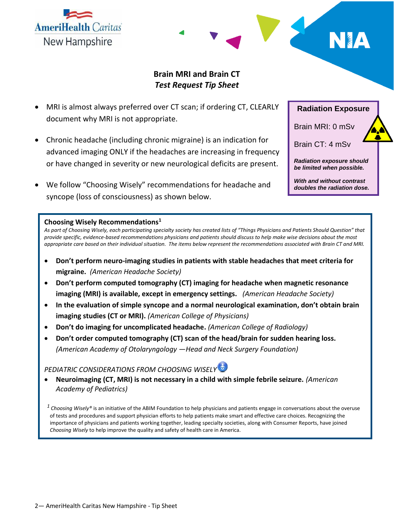**AmeriHealth Caritas** New Hampshire

## **Brain MRI and Brain CT** *Test Request Tip Sheet*

- MRI is almost always preferred over CT scan; if ordering CT, CLEARLY document why MRI is not appropriate.
- Chronic headache (including chronic migraine) is an indication for advanced imaging ONLY if the headaches are increasing in frequency or have changed in severity or new neurological deficits are present.
- We follow "Choosing Wisely" recommendations for headache and syncope (loss of consciousness) as shown below.

## **Radiation Exposure**

Brain MRI: 0 mSv

Brain CT: 4 mSv

*Radiation exposure should be limited when possible.*

*With and without contrast doubles the radiation dose.*

#### **Choosing Wisely Recommendations<sup>1</sup>**

*As part of Choosing Wisely, each participating specialty society has created lists of "Things Physicians and Patients Should Question" that provide specific, evidence-based recommendations physicians and patients should discuss to help make wise decisions about the most appropriate care based on their individual situation. The items below represent the recommendations associated with Brain CT and MRI.*

- **Don't perform neuro-imaging studies in patients with stable headaches that meet criteria for migraine.** *(American Headache Society)*
- **Don't perform computed tomography (CT) imaging for headache when magnetic resonance imaging (MRI) is available, except in emergency settings.** *(American Headache Society)*
- **In the evaluation of simple syncope and a normal neurological examination, don't obtain brain imaging studies (CT or MRI).** *(American College of Physicians)*
- **Don't do imaging for uncomplicated headache.** *(American College of Radiology)*
- **Don't order computed tomography (CT) scan of the head/brain for sudden hearing loss.**  *(American Academy of Otolaryngology —Head and Neck Surgery Foundation)*

## *PEDIATRIC CONSIDERATIONS FROM CHOOSING WISELY*

 **Neuroimaging (CT, MRI) is not necessary in a child with simple febrile seizure.** *(American Academy of Pediatrics)*

*<sup>1</sup>Choosing Wisely®* is an initiative of the ABIM Foundation to help physicians and patients engage in conversations about the overuse of tests and procedures and support physician efforts to help patients make smart and effective care choices. Recognizing the importance of physicians and patients working together, leading specialty societies, along with Consumer Reports, have joined *Choosing Wisely* to help improve the quality and safety of health care in America.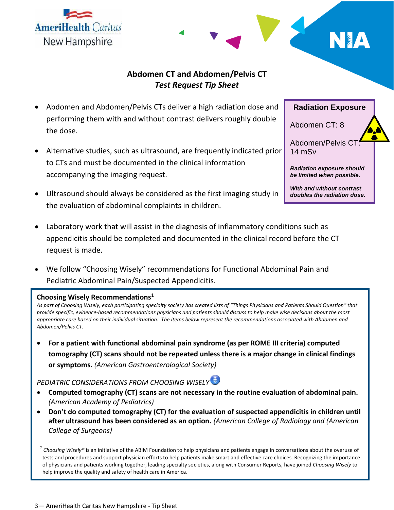3— AmeriHealth Caritas New Hampshire - Tip Sheet

## **Abdomen CT and Abdomen/Pelvis CT** *Test Request Tip Sheet*

- Abdomen and Abdomen/Pelvis CTs deliver a high radiation dose and performing them with and without contrast delivers roughly double the dose.
- Alternative studies, such as ultrasound, are frequently indicated prior to CTs and must be documented in the clinical information accompanying the imaging request.
- Ultrasound should always be considered as the first imaging study in the evaluation of abdominal complaints in children.
- Laboratory work that will assist in the diagnosis of inflammatory conditions such as appendicitis should be completed and documented in the clinical record before the CT request is made.
- We follow "Choosing Wisely" recommendations for Functional Abdominal Pain and Pediatric Abdominal Pain/Suspected Appendicitis.

#### **Choosing Wisely Recommendations<sup>1</sup>**

*As part of Choosing Wisely, each participating specialty society has created lists of "Things Physicians and Patients Should Question" that provide specific, evidence-based recommendations physicians and patients should discuss to help make wise decisions about the most appropriate care based on their individual situation. The items below represent the recommendations associated with Abdomen and Abdomen/Pelvis CT.*

 **For a patient with functional abdominal pain syndrome (as per ROME III criteria) computed tomography (CT) scans should not be repeated unless there is a major change in clinical findings or symptoms.** *(American Gastroenterological Society)*

## *PEDIATRIC CONSIDERATIONS FROM CHOOSING WISELY*

- **Computed tomography (CT) scans are not necessary in the routine evaluation of abdominal pain.**  *(American Academy of Pediatrics)*
- **Don't do computed tomography (CT) for the evaluation of suspected appendicitis in children until after ultrasound has been considered as an option.** *(American College of Radiology and (American College of Surgeons)*

<sup>1</sup> Choosing Wisely® is an initiative of the ABIM Foundation to help physicians and patients engage in conversations about the overuse of tests and procedures and support physician efforts to help patients make smart and effective care choices. Recognizing the importance of physicians and patients working together, leading specialty societies, along with Consumer Reports, have joined *Choosing Wisely* to help improve the quality and safety of health care in America.

**Radiation Exposure**

Abdomen/Pelvis CT: 14 mSv

Abdomen CT: 8

*Radiation exposure should be limited when possible.*

*With and without contrast doubles the radiation dose.*



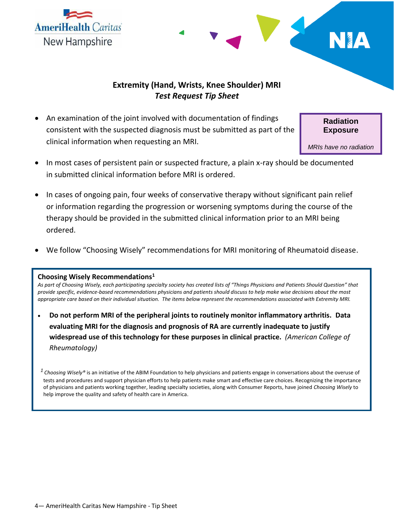



## **Extremity (Hand, Wrists, Knee Shoulder) MRI**  *Test Request Tip Sheet*

 An examination of the joint involved with documentation of findings consistent with the suspected diagnosis must be submitted as part of the clinical information when requesting an MRI.

**Radiation Exposure**

*MRIs have no radiation exposure.*

- In most cases of persistent pain or suspected fracture, a plain x-ray should be documented in submitted clinical information before MRI is ordered.
- In cases of ongoing pain, four weeks of conservative therapy without significant pain relief or information regarding the progression or worsening symptoms during the course of the therapy should be provided in the submitted clinical information prior to an MRI being ordered.
- We follow "Choosing Wisely" recommendations for MRI monitoring of Rheumatoid disease.

#### **Choosing Wisely Recommendations<sup>1</sup>**

*As part of Choosing Wisely, each participating specialty society has created lists of "Things Physicians and Patients Should Question" that provide specific, evidence-based recommendations physicians and patients should discuss to help make wise decisions about the most appropriate care based on their individual situation. The items below represent the recommendations associated with Extremity MRI.*

 **Do not perform MRI of the peripheral joints to routinely monitor inflammatory arthritis. Data evaluating MRI for the diagnosis and prognosis of RA are currently inadequate to justify widespread use of this technology for these purposes in clinical practice.** *(American College of Rheumatology)*

*<sup>1</sup>Choosing Wisely®* is an initiative of the ABIM Foundation to help physicians and patients engage in conversations about the overuse of tests and procedures and support physician efforts to help patients make smart and effective care choices. Recognizing the importance of physicians and patients working together, leading specialty societies, along with Consumer Reports, have joined *Choosing Wisely* to help improve the quality and safety of health care in America.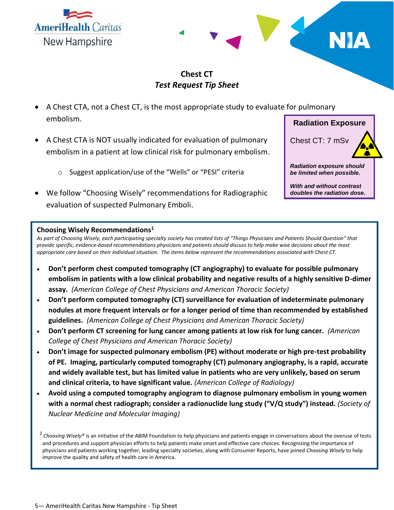



## **Chest CT** *Test Request Tip Sheet*

- A Chest CTA, not a Chest CT, is the most appropriate study to evaluate for pulmonary embolism.
- A Chest CTA is NOT usually indicated for evaluation of pulmonary embolism in a patient at low clinical risk for pulmonary embolism.
	- o Suggest application/use of the "Wells" or "PESI" criteria
- We follow "Choosing Wisely" recommendations for Radiographic evaluation of suspected Pulmonary Emboli.

# **Radiation Exposure**

Chest CT: 7 mSv

*Radiation exposure should be limited when possible.*

*With and without contrast doubles the radiation dose.*

## **Choosing Wisely Recommendations<sup>1</sup>**

*As part of Choosing Wisely, each participating specialty society has created lists of "Things Physicians and Patients Should Question" that provide specific, evidence-based recommendations physicians and patients should discuss to help make wise decisions about the most appropriate care based on their individual situation. The items below represent the recommendations associated with Chest CT.*

- **Don't perform chest computed tomography (CT angiography) to evaluate for possible pulmonary embolism in patients with a low clinical probability and negative results of a highly sensitive D-dimer assay.** *(American College of Chest Physicians and American Thoracic Society)*
- **Don't perform computed tomography (CT) surveillance for evaluation of indeterminate pulmonary nodules at more frequent intervals or for a longer period of time than recommended by established guidelines.** *(American College of Chest Physicians and American Thoracic Society)*
- **Don't perform CT screening for lung cancer among patients at low risk for lung cancer.** *(American College of Chest Physicians and American Thoracic Society)*
- **Don't image for suspected pulmonary embolism (PE) without moderate or high pre-test probability of PE. Imaging, particularly computed tomography (CT) pulmonary angiography, is a rapid, accurate and widely available test, but has limited value in patients who are very unlikely, based on serum and clinical criteria, to have significant value.** *(American College of Radiology)*
- **Avoid using a computed tomography angiogram to diagnose pulmonary embolism in young women with a normal chest radiograph; consider a radionuclide lung study ("V/Q study") instead.** *(Society of Nuclear Medicine and Molecular Imaging)*

<sup>1</sup> Choosing Wisely® is an initiative of the ABIM Foundation to help physicians and patients engage in conversations about the overuse of tests and procedures and support physician efforts to help patients make smart and effective care choices. Recognizing the importance of physicians and patients working together, leading specialty societies, along with Consumer Reports, have joined *Choosing Wisely* to help improve the quality and safety of health care in America.